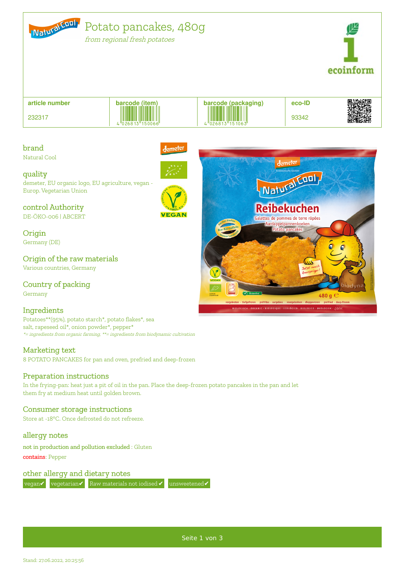

from regional fresh potatoes



**article number**

232317





brand

Natural Cool

quality



l<sub>emeter</sub>

demeter, EU organic logo, EU agriculture, vegan - Europ. Vegetarian Union

control Authority DE-ÖKO-006 | ABCERT

**Origin** Germany (DE)

Origin of the raw materials

Various countries, Germany

Country of packing Germany

# **Ingredients**

Potatoes\*\*(95%), potato starch\*, potato flakes\*, sea salt, rapeseed oil\*, onion powder\*, pepper\* \*= ingredients from organic farming, \*\*= ingredients from biodynamic cultivation

# Marketing text

8 POTATO PANCAKES for pan and oven, prefried and deep-frozen

# Preparation instructions

In the frying-pan: heat just a pit of oil in the pan. Place the deep-frozen potato pancakes in the pan and let them fry at medium heat until golden brown.

# Consumer storage instructions

Store at -18°C. Once defrosted do not refreeze.

allergy notes

not in production and pollution excluded : Gluten contains: Pepper

other allergy and dietary notes

vegan✔ vegetarian✔ Raw materials not iodised✔ unsweetened✔



Seite 1 von 3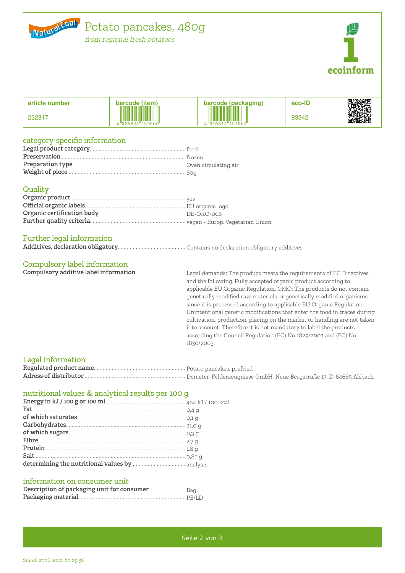

from regional fresh potatoes



| article number | barcode (item)                             | b <u>arcode (packag</u> ing)<br>11 T T T                   | eco-ID |                                 |
|----------------|--------------------------------------------|------------------------------------------------------------|--------|---------------------------------|
| 232317         | THE<br><u>HII HII H</u><br>"026813"150066" | <b>THE REAL PROPERTY</b><br>$\cdot$ "026813"151063"<br>Lı. | 93342  | ■ 3388200<br>文化の第2巻<br>■ 338438 |

### category-specific information

#### Quality

### Further legal information

# Compulsory label information

and the following. Fully accepted organic product according to applicable EU Organic Regulation. GMO: The products do not contain genetically modified raw materials or genetically modified organisms since it is processed according to applicable EU Organic Regulation. Unintentional genetic modifications that enter the food in traces during cultivation, production, placing on the market or handling are not taken into account. Therefore it is not mandatory to label the products according the Council Regulation (EC) No 1829/2003 and (EC) No 1830/2003.

#### Legal information

### nutritional values & analytical results per 100 g

| ${\bf Carbo} {\bf hydrates}. \label{thm:1}$                        |  |
|--------------------------------------------------------------------|--|
|                                                                    |  |
|                                                                    |  |
| Protein $1,8,9$                                                    |  |
|                                                                    |  |
| determining the nutritional values by <b>manufactures</b> analysis |  |

#### information on consumer unit